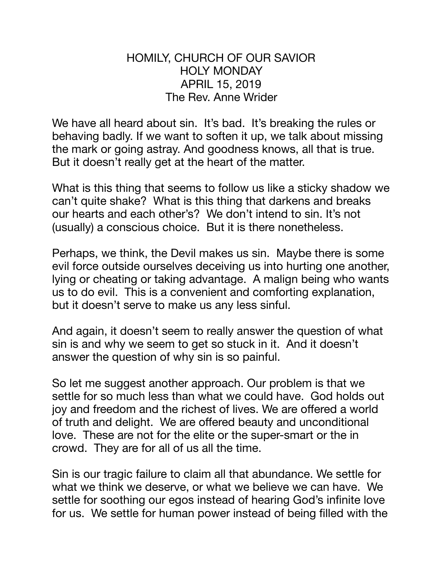## HOMILY, CHURCH OF OUR SAVIOR HOLY MONDAY APRIL 15, 2019 The Rev. Anne Wrider

We have all heard about sin. It's bad. It's breaking the rules or behaving badly. If we want to soften it up, we talk about missing the mark or going astray. And goodness knows, all that is true. But it doesn't really get at the heart of the matter.

What is this thing that seems to follow us like a sticky shadow we can't quite shake? What is this thing that darkens and breaks our hearts and each other's? We don't intend to sin. It's not (usually) a conscious choice. But it is there nonetheless.

Perhaps, we think, the Devil makes us sin. Maybe there is some evil force outside ourselves deceiving us into hurting one another, lying or cheating or taking advantage. A malign being who wants us to do evil. This is a convenient and comforting explanation, but it doesn't serve to make us any less sinful.

And again, it doesn't seem to really answer the question of what sin is and why we seem to get so stuck in it. And it doesn't answer the question of why sin is so painful.

So let me suggest another approach. Our problem is that we settle for so much less than what we could have. God holds out joy and freedom and the richest of lives. We are offered a world of truth and delight. We are offered beauty and unconditional love. These are not for the elite or the super-smart or the in crowd. They are for all of us all the time.

Sin is our tragic failure to claim all that abundance. We settle for what we think we deserve, or what we believe we can have. We settle for soothing our egos instead of hearing God's infinite love for us. We settle for human power instead of being filled with the